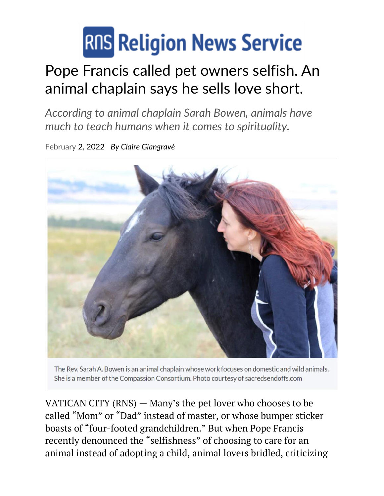## **RIIS Religion News Service**

## Pope Francis called pet owners selfish. An animal chaplain says he sells love short.

*According to animal chaplain Sarah Bowen, animals have much to teach humans when it comes to spirituality.*

February 2, 2022 *By Claire [Giangravé](https://religionnews.com/author/cgiangrave/)*



The Rev. Sarah A. Bowen is an animal chaplain whose work focuses on domestic and wild animals. She is a member of the Compassion Consortium. Photo courtesy of sacredsendoffs.com

VATICAN CITY (RNS) — Many's the pet lover who chooses to be called "Mom" or "Dad" instead of master, or whose bumper sticker boasts of "four-footed grandchildren." But when Pope Francis recently denounced the "selfishness" of choosing to care for an animal instead of adopting a child, animal lovers bridled, criticizing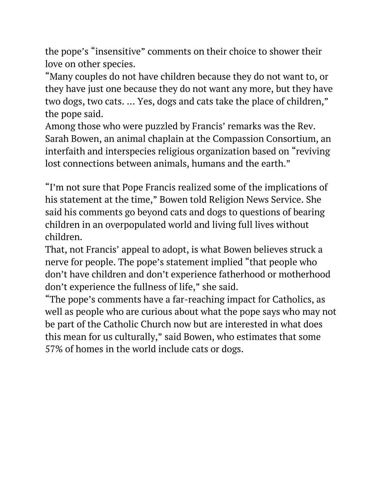the pope's "[insensitive](https://www.theguardian.com/world/2022/jan/06/insensitive-pet-owners-react-to-popes-remarks-on-animals-and-children)" comments on their choice to shower their love on other species.

"Many couples do not have children because they do not want to, or they have just one because they do not want any more, but they have two dogs, two cats. … Yes, dogs and cats take the place of children," the pope said.

Among those who were puzzled by Francis' remarks was the Rev. Sarah Bowen, an animal chaplain at the [Compassion](https://www.compassionconsortium.org/) Consortium, an interfaith and interspecies religious organization based on "reviving lost connections between animals, humans and the earth."

"I'm not sure that Pope Francis realized some of the implications of his statement at the time," Bowen told Religion News Service. She said his comments go beyond cats and dogs to questions of bearing children in an overpopulated world and living full lives without children.

That, not Francis' appeal to adopt, is what Bowen believes struck a nerve for people. The pope's statement implied "that people who don't have children and don't experience fatherhood or motherhood don't experience the fullness of life," she said.

"The pope's comments have a far-reaching impact for Catholics, as well as people who are curious about what the pope says who may not be part of the Catholic Church now but are interested in what does this mean for us culturally," said Bowen, who estimates that some 57% of homes in the world include cats or dogs.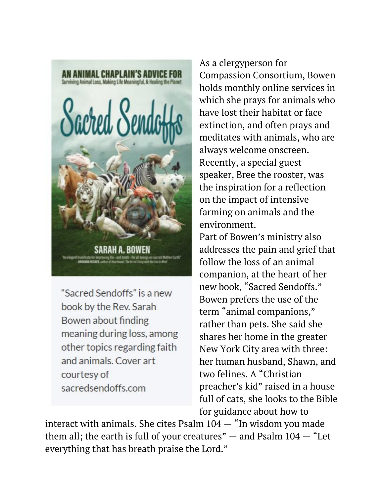

"Sacred Sendoffs" is a new book by the Rev. Sarah Bowen about finding meaning during loss, among other topics regarding faith and animals. Cover art courtesy of sacredsendoffs.com

As a clergyperson for Compassion Consortium, Bowen holds monthly online services in which she prays for animals who have lost their habitat or face extinction, and often prays and meditates with animals, who are always welcome onscreen. Recently, a special guest speaker, Bree the rooster, was the inspiration for a reflection on the impact of intensive farming on animals and the environment.

Part of Bowen's ministry also addresses the pain and grief that follow the loss of an animal companion, at the heart of her new book, "Sacred [Sendoffs](https://www.amazon.com/Sacred-Sendoffs-Chaplains-Surviving-Meaningful/dp/1948626594)." Bowen prefers the use of the term "animal companions," rather than pets. She said she shares her home in the greater New York City area with three: her human husband, Shawn, and two felines. A "Christian preacher's kid" raised in a house full of cats, she looks to the Bible for guidance about how to

interact with animals. She cites Psalm  $104 -$  "In wisdom you made them all; the earth is full of your creatures"  $-$  and Psalm  $104 -$  "Let everything that has breath praise the Lord."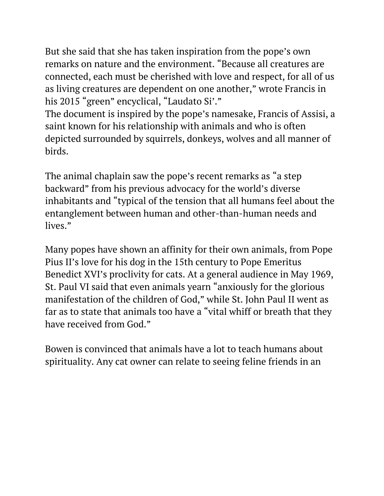But she said that she has taken inspiration from the pope's own remarks on nature and the environment. "Because all creatures are connected, each must be cherished with love and respect, for all of us as living creatures are dependent on one another," wrote Francis in his 2015 "green" encyclical, "Laudato Si'."

The document is inspired by the pope's namesake, Francis of Assisi, a saint known for his relationship with animals and who is often depicted surrounded by squirrels, donkeys, wolves and all manner of birds.

The animal chaplain saw the pope's recent remarks as "a step backward" from his previous advocacy for the world's diverse inhabitants and "typical of the tension that all humans feel about the entanglement between human and other-than-human needs and lives."

Many popes have shown an affinity for their own animals, from Pope Pius II's love for his dog in the 15th century to Pope Emeritus Benedict XVI's proclivity for cats. At a general audience in May 1969, St. Paul VI said that even animals yearn "anxiously for the glorious manifestation of the children of God," while St. John Paul II went as far as to state that animals too have a "vital whiff or breath that they have received from God."

Bowen is convinced that animals have a lot to teach humans about spirituality. Any cat owner can relate to seeing feline friends in an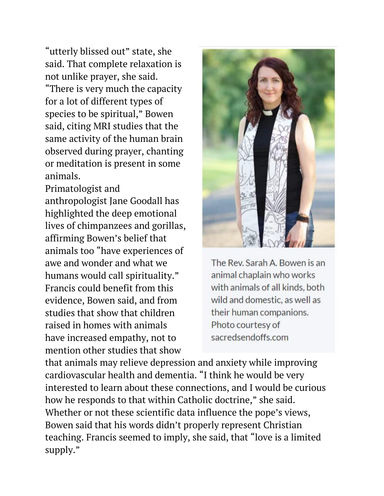"utterly blissed out" state, she said. That complete relaxation is not unlike prayer, she said. "There is very much the capacity for a lot of different types of species to be spiritual," Bowen said, citing MRI studies that the same activity of the human brain observed during prayer, chanting or meditation is present in some animals.

Primatologist and anthropologist Jane [Goodall](https://religionnews.com/2021/05/20/jane-goodall-celebrated-primatologist-wins-2021-templeton-prize/) has [highlighted](https://religionnews.com/2021/05/20/jane-goodall-celebrated-primatologist-wins-2021-templeton-prize/) the deep emotional lives of [chimpanzees](https://religionnews.com/2021/05/20/jane-goodall-celebrated-primatologist-wins-2021-templeton-prize/) and gorillas, affirming Bowen's belief that animals too "have experiences of awe and wonder and what we humans would call spirituality." Francis could benefit from this evidence, Bowen said, and from studies that show that children raised in homes with animals have [increased](https://www.washingtonpost.com/posteverything/wp/2015/04/14/want-to-raise-empathetic-kids-get-them-a-dog/) empathy, not to mention other studies that show



The Rev. Sarah A. Bowen is an animal chaplain who works with animals of all kinds, both wild and domestic, as well as their human companions. Photo courtesy of sacredsendoffs.com

that animals may relieve depression and anxiety while improving cardiovascular health and dementia. "I think he would be very interested to learn about these connections, and I would be curious how he responds to that within Catholic doctrine," she said. Whether or not these scientific data influence the pope's views, Bowen said that his words didn't properly represent Christian teaching. Francis seemed to imply, she said, that "love is a limited supply."